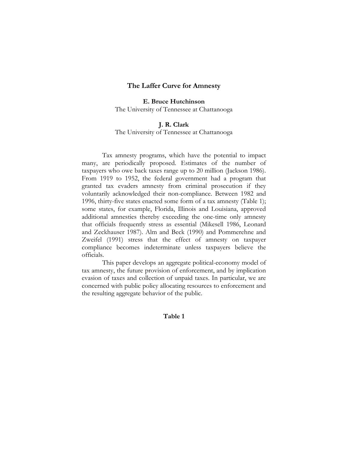### **The Laffer Curve for Amnesty**

**E. Bruce Hutchinson** The University of Tennessee at Chattanooga

# **J. R. Clark**

The University of Tennessee at Chattanooga

Tax amnesty programs, which have the potential to impact many, are periodically proposed. Estimates of the number of taxpayers who owe back taxes range up to 20 million (Jackson 1986). From 1919 to 1952, the federal government had a program that granted tax evaders amnesty from criminal prosecution if they voluntarily acknowledged their non-compliance. Between 1982 and 1996, thirty-five states enacted some form of a tax amnesty (Table 1); some states, for example, Florida, Illinois and Louisiana, approved additional amnesties thereby exceeding the one-time only amnesty that officials frequently stress as essential (Mikesell 1986, Leonard and Zeckhauser 1987). Alm and Beck (1990) and Pommerehne and Zweifel (1991) stress that the effect of amnesty on taxpayer compliance becomes indeterminate unless taxpayers believe the officials.

This paper develops an aggregate political-economy model of tax amnesty, the future provision of enforcement, and by implication evasion of taxes and collection of unpaid taxes. In particular, we are concerned with public policy allocating resources to enforcement and the resulting aggregate behavior of the public.

### **Table 1**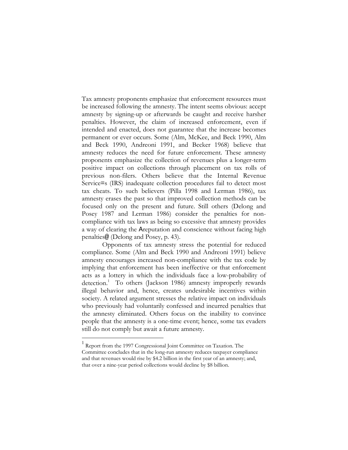Tax amnesty proponents emphasize that enforcement resources must be increased following the amnesty. The intent seems obvious: accept amnesty by signing-up or afterwards be caught and receive harsher penalties. However, the claim of increased enforcement, even if intended and enacted, does not guarantee that the increase becomes permanent or ever occurs. Some (Alm, McKee, and Beck 1990, Alm and Beck 1990, Andreoni 1991, and Becker 1968) believe that amnesty reduces the need for future enforcement. These amnesty proponents emphasize the collection of revenues plus a longer-term positive impact on collections through placement on tax rolls of previous non-filers. Others believe that the Internal Revenue Service=s (IRS) inadequate collection procedures fail to detect most tax cheats. To such believers (Pilla 1998 and Lerman 1986), tax amnesty erases the past so that improved collection methods can be focused only on the present and future. Still others (Delong and Posey 1987 and Lerman 1986) consider the penalties for noncompliance with tax laws as being so excessive that amnesty provides a way of clearing the Areputation and conscience without facing high penalties@ (Delong and Posey, p. 43).

Opponents of tax amnesty stress the potential for reduced compliance. Some (Alm and Beck 1990 and Andreoni 1991) believe amnesty encourages increased non-compliance with the tax code by implying that enforcement has been ineffective or that enforcement acts as a lottery in which the individuals face a low-probability of detection.<sup>1</sup> To others (Jackson 1986) amnesty improperly rewards illegal behavior and, hence, creates undesirable incentives within society. A related argument stresses the relative impact on individuals who previously had voluntarily confessed and incurred penalties that the amnesty eliminated. Others focus on the inability to convince people that the amnesty is a one-time event; hence, some tax evaders still do not comply but await a future amnesty.

<u>.</u>

<sup>&</sup>lt;sup>1</sup> Report from the 1997 Congressional Joint Committee on Taxation. The Committee concludes that in the long-run amnesty reduces taxpayer compliance and that revenues would rise by \$4.2 billion in the first year of an amnesty; and, that over a nine-year period collections would decline by \$8 billion.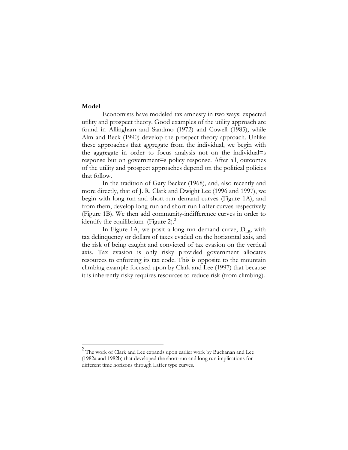### **Model**

1

Economists have modeled tax amnesty in two ways: expected utility and prospect theory. Good examples of the utility approach are found in Allingham and Sandmo (1972) and Cowell (1985), while Alm and Beck (1990) develop the prospect theory approach. Unlike these approaches that aggregate from the individual, we begin with the aggregate in order to focus analysis not on the individual=s response but on government=s policy response. After all, outcomes of the utility and prospect approaches depend on the political policies that follow.

In the tradition of Gary Becker (1968), and, also recently and more directly, that of J. R. Clark and Dwight Lee (1996 and 1997), we begin with long-run and short-run demand curves (Figure 1A), and from them, develop long-run and short-run Laffer curves respectively (Figure 1B). We then add community-indifference curves in order to identify the equilibrium (Figure 2). $<sup>2</sup>$ </sup>

In Figure 1A, we posit a long-run demand curve,  $D_{LR}$ , with tax delinquency or dollars of taxes evaded on the horizontal axis, and the risk of being caught and convicted of tax evasion on the vertical axis. Tax evasion is only risky provided government allocates resources to enforcing its tax code. This is opposite to the mountain climbing example focused upon by Clark and Lee (1997) that because it is inherently risky requires resources to reduce risk (from climbing).

 $^{2}$  The work of Clark and Lee expands upon earlier work by Buchanan and Lee (1982a and 1982b) that developed the short-run and long run implications for different time horizons through Laffer type curves.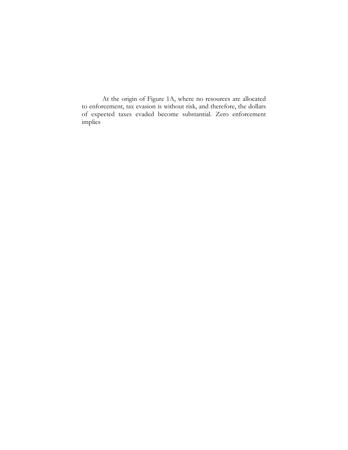At the origin of Figure 1A, where no resources are allocated to enforcement, tax evasion is without risk, and therefore, the dollars of expected taxes evaded become substantial. Zero enforcement implies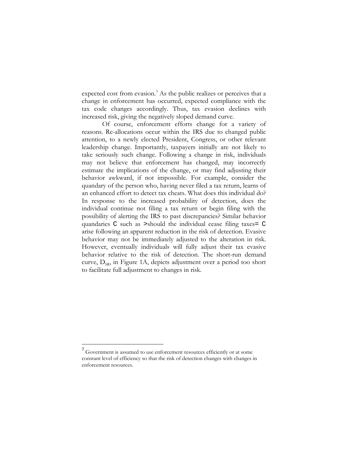expected cost from evasion.<sup>3</sup> As the public realizes or perceives that a change in enforcement has occurred, expected compliance with the tax code changes accordingly. Thus, tax evasion declines with increased risk, giving the negatively sloped demand curve.

 Of course, enforcement efforts change for a variety of reasons. Re-allocations occur within the IRS due to changed public attention, to a newly elected President, Congress, or other relevant leadership change. Importantly, taxpayers initially are not likely to take seriously such change. Following a change in risk, individuals may not believe that enforcement has changed, may incorrectly estimate the implications of the change, or may find adjusting their behavior awkward, if not impossible. For example, consider the quandary of the person who, having never filed a tax return, learns of an enhanced effort to detect tax cheats. What does this individual do? In response to the increased probability of detection, does the individual continue not filing a tax return or begin filing with the possibility of alerting the IRS to past discrepancies? Similar behavior quandaries C such as >should the individual cease filing taxes= C arise following an apparent reduction in the risk of detection. Evasive behavior may not be immediately adjusted to the alteration in risk. However, eventually individuals will fully adjust their tax evasive behavior relative to the risk of detection. The short-run demand curve,  $D_{SR}$ , in Figure 1A, depicts adjustment over a period too short to facilitate full adjustment to changes in risk.

 $3$  Government is assumed to use enforcement resources efficiently or at some constant level of efficiency so that the risk of detection changes with changes in enforcement resources.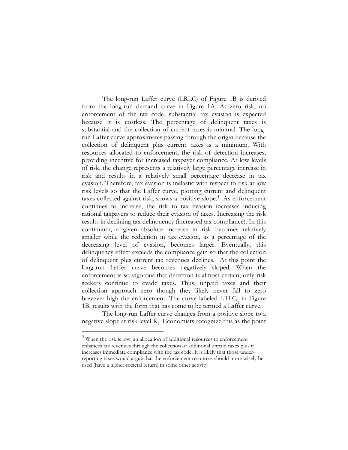The long-run Laffer curve (LRLC) of Figure 1B is derived from the long-run demand curve in Figure 1A. At zero risk, no enforcement of the tax code, substantial tax evasion is expected because it is costless. The percentage of delinquent taxes is substantial and the collection of current taxes is minimal. The longrun Laffer curve approximates passing through the origin because the collection of delinquent plus current taxes is a minimum. With resources allocated to enforcement, the risk of detection increases, providing incentive for increased taxpayer compliance. At low levels of risk, the change represents a relatively large percentage increase in risk and results in a relatively small percentage decrease in tax evasion. Therefore, tax evasion is inelastic with respect to risk at low risk levels so that the Laffer curve, plotting current and delinquent taxes collected against risk, shows a positive slope.<sup>4</sup> As enforcement continues to increase, the risk to tax evasion increases inducing rational taxpayers to reduce their evasion of taxes. Increasing the risk results in declining tax delinquency (increased tax compliance). In this continuum, a given absolute increase in risk becomes relatively smaller while the reduction in tax evasion, as a percentage of the decreasing level of evasion, becomes larger. Eventually, this delinquency effect exceeds the compliance gain so that the collection of delinquent plus current tax revenues declines. At this point the long-run Laffer curve becomes negatively sloped. When the enforcement is so vigorous that detection is almost certain, only risk seekers continue to evade taxes. Thus, unpaid taxes and their collection approach zero though they likely never fall to zero however high the enforcement. The curve labeled  $LRLC<sub>0</sub>$  in Figure 1B, results with the form that has come to be termed a Laffer curve.

The long-run Laffer curve changes from a positive slope to a negative slope at risk level  $R_1$ . Economists recognize this as the point

 $4$  When the risk is low, an allocation of additional resources to enforcement enhances tax revenues through the collection of additional unpaid taxes plus it increases immediate compliance with the tax code. It is likely that those underreporting taxes would argue that the enforcement resources should more wisely be used (have a higher societal return) in some other activity.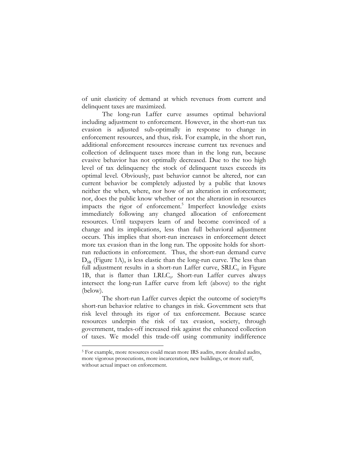of unit elasticity of demand at which revenues from current and delinquent taxes are maximized.

The long-run Laffer curve assumes optimal behavioral including adjustment to enforcement. However, in the short-run tax evasion is adjusted sub-optimally in response to change in enforcement resources, and thus, risk. For example, in the short run, additional enforcement resources increase current tax revenues and collection of delinquent taxes more than in the long run, because evasive behavior has not optimally decreased. Due to the too high level of tax delinquency the stock of delinquent taxes exceeds its optimal level. Obviously, past behavior cannot be altered, nor can current behavior be completely adjusted by a public that knows neither the when, where, nor how of an alteration in enforcement; nor, does the public know whether or not the alteration in resources impacts the rigor of enforcement.<sup>5</sup> Imperfect knowledge exists immediately following any changed allocation of enforcement resources. Until taxpayers learn of and become convinced of a change and its implications, less than full behavioral adjustment occurs. This implies that short-run increases in enforcement detect more tax evasion than in the long run. The opposite holds for shortrun reductions in enforcement. Thus, the short-run demand curve  $D_{SR}$  (Figure 1A), is less elastic than the long-run curve. The less than full adjustment results in a short-run Laffer curve,  $SRLC<sub>0</sub>$  in Figure 1B, that is flatter than  $LRLC_0$ . Short-run Laffer curves always intersect the long-run Laffer curve from left (above) to the right (below).

The short-run Laffer curves depict the outcome of society=s short-run behavior relative to changes in risk. Government sets that risk level through its rigor of tax enforcement. Because scarce resources underpin the risk of tax evasion, society, through government, trades-off increased risk against the enhanced collection of taxes. We model this trade-off using community indifference

<sup>5</sup> For example, more resources could mean more IRS audits, more detailed audits, more vigorous prosecutions, more incarceration, new buildings, or more staff, without actual impact on enforcement.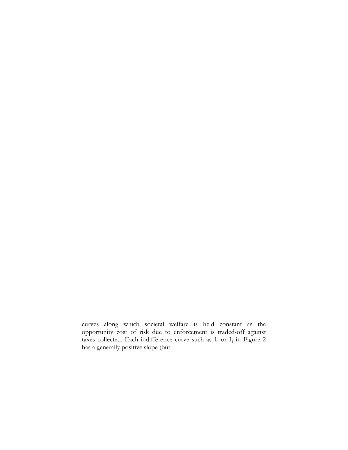curves along which societal welfare is held constant as the opportunity cost of risk due to enforcement is traded-off against taxes collected. Each indifference curve such as  $I_0$  or  $I_1$  in Figure 2 has a generally positive slope (but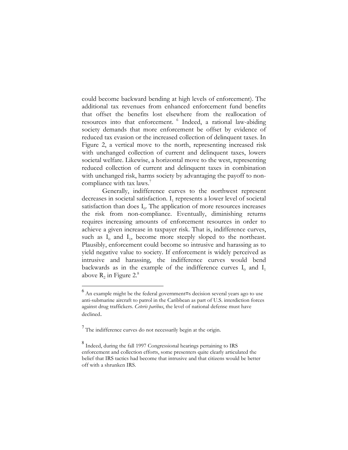could become backward bending at high levels of enforcement). The additional tax revenues from enhanced enforcement fund benefits that offset the benefits lost elsewhere from the reallocation of resources into that enforcement. 6 Indeed, a rational law-abiding society demands that more enforcement be offset by evidence of reduced tax evasion or the increased collection of delinquent taxes. In Figure 2, a vertical move to the north, representing increased risk with unchanged collection of current and delinquent taxes, lowers societal welfare. Likewise, a horizontal move to the west, representing reduced collection of current and delinquent taxes in combination with unchanged risk, harms society by advantaging the payoff to noncompliance with tax laws.<sup>7</sup>

Generally, indifference curves to the northwest represent decreases in societal satisfaction.  $I_1$  represents a lower level of societal satisfaction than does  $I_0$ . The application of more resources increases the risk from non-compliance. Eventually, diminishing returns requires increasing amounts of enforcement resources in order to achieve a given increase in taxpayer risk. That is, indifference curves, such as  $I_0$  and  $I_1$ , become more steeply sloped to the northeast. Plausibly, enforcement could become so intrusive and harassing as to yield negative value to society. If enforcement is widely perceived as intrusive and harassing, the indifference curves would bend backwards as in the example of the indifference curves  $I_0$  and  $I_1$ above  $R_2$  in Figure 2.<sup>8</sup>

1

<sup>6</sup> An example might be the federal government=s decision several years ago to use anti-submarine aircraft to patrol in the Caribbean as part of U.S. interdiction forces against drug traffickers. *Ceteris paribus*, the level of national defense must have declined.

 $<sup>7</sup>$  The indifference curves do not necessarily begin at the origin.</sup>

<sup>&</sup>lt;sup>8</sup> Indeed, during the fall 1997 Congressional hearings pertaining to IRS enforcement and collection efforts, some presenters quite clearly articulated the belief that IRS tactics had become that intrusive and that citizens would be better off with a shrunken IRS.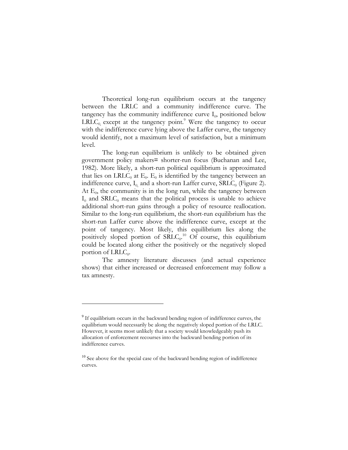Theoretical long-run equilibrium occurs at the tangency between the LRLC and a community indifference curve. The tangency has the community indifference curve  $I_0$ , positioned below  $LRLC_0$  except at the tangency point.<sup>9</sup> Were the tangency to occur with the indifference curve lying above the Laffer curve, the tangency would identify, not a maximum level of satisfaction, but a minimum level.

The long-run equilibrium is unlikely to be obtained given government policy makers= shorter-run focus (Buchanan and Lee, 1982). More likely, a short-run political equilibrium is approximated that lies on LRLC<sub>0</sub> at  $E_0$ .  $E_0$  is identified by the tangency between an indifference curve,  $I_0$  and a short-run Laffer curve, SRLC<sub>0</sub> (Figure 2). At  $E_0$ , the community is in the long run, while the tangency between  $I_0$  and SRLC<sub>0</sub> means that the political process is unable to achieve additional short-run gains through a policy of resource reallocation. Similar to the long-run equilibrium, the short-run equilibrium has the short-run Laffer curve above the indifference curve, except at the point of tangency. Most likely, this equilibrium lies along the positively sloped portion of  $SRLC<sub>0</sub>$ .<sup>10</sup> Of course, this equilibrium could be located along either the positively or the negatively sloped portion of  $LRLC_0$ .

The amnesty literature discusses (and actual experience shows) that either increased or decreased enforcement may follow a tax amnesty.

<sup>&</sup>lt;sup>9</sup> If equilibrium occurs in the backward bending region of indifference curves, the equilibrium would necessarily be along the negatively sloped portion of the LRLC. However, it seems most unlikely that a society would knowledgeably push its allocation of enforcement recourses into the backward bending portion of its indifference curves.

 $10$  See above for the special case of the backward bending region of indifference curves.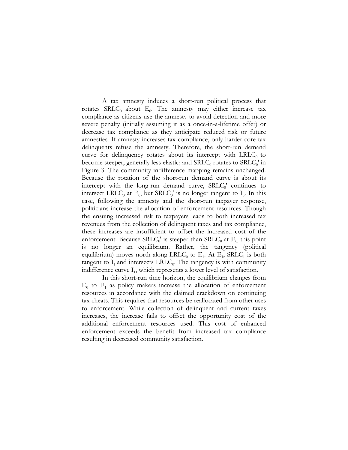A tax amnesty induces a short-run political process that rotates  $SRLC<sub>0</sub>$  about  $E<sub>0</sub>$ . The amnesty may either increase tax compliance as citizens use the amnesty to avoid detection and more severe penalty (initially assuming it as a once-in-a-lifetime offer) or decrease tax compliance as they anticipate reduced risk or future amnesties. If amnesty increases tax compliance, only harder-core tax delinquents refuse the amnesty. Therefore, the short-run demand curve for delinquency rotates about its intercept with  $LRLC_0$  to become steeper, generally less elastic; and  $SRLC<sub>0</sub>$  rotates to  $SRLC<sub>0</sub>$ ' in Figure 3. The community indifference mapping remains unchanged. Because the rotation of the short-run demand curve is about its intercept with the long-run demand curve,  $SRLC<sub>0</sub>$ ' continues to intersect LRLC<sub>0</sub> at  $E_0$ , but SRLC<sub>0</sub>' is no longer tangent to I<sub>0</sub>. In this case, following the amnesty and the short-run taxpayer response, politicians increase the allocation of enforcement resources. Though the ensuing increased risk to taxpayers leads to both increased tax revenues from the collection of delinquent taxes and tax compliance, these increases are insufficient to offset the increased cost of the enforcement. Because  $SRLC_0'$  is steeper than  $SRLC_0$  at  $E_0$ , this point is no longer an equilibrium. Rather, the tangency (political equilibrium) moves north along LRLC<sub>0</sub> to  $E_1$ . At  $E_1$ , SRLC<sub>1</sub> is both tangent to  $I_1$  and intersects LRLC<sub>0</sub>. The tangency is with community indifference curve  $I_1$ , which represents a lower level of satisfaction.

In this short-run time horizon, the equilibrium changes from  $E_0$  to  $E_1$  as policy makers increase the allocation of enforcement resources in accordance with the claimed crackdown on continuing tax cheats. This requires that resources be reallocated from other uses to enforcement. While collection of delinquent and current taxes increases, the increase fails to offset the opportunity cost of the additional enforcement resources used. This cost of enhanced enforcement exceeds the benefit from increased tax compliance resulting in decreased community satisfaction.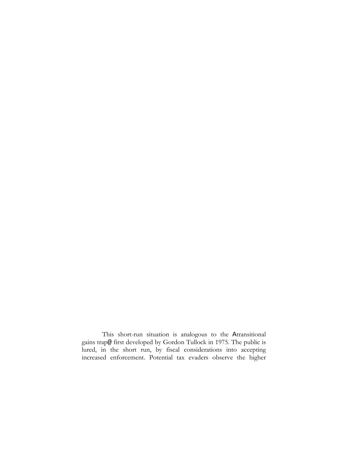This short-run situation is analogous to the Atransitional gains trap@ first developed by Gordon Tullock in 1975. The public is lured, in the short run, by fiscal considerations into accepting increased enforcement. Potential tax evaders observe the higher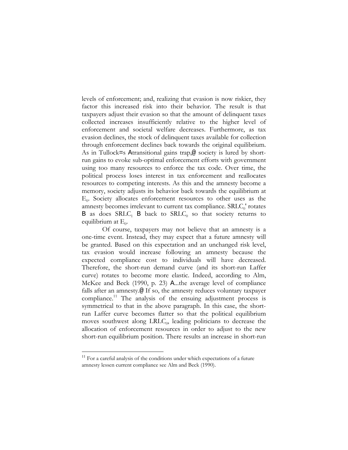levels of enforcement; and, realizing that evasion is now riskier, they factor this increased risk into their behavior. The result is that taxpayers adjust their evasion so that the amount of delinquent taxes collected increases insufficiently relative to the higher level of enforcement and societal welfare decreases. Furthermore, as tax evasion declines, the stock of delinquent taxes available for collection through enforcement declines back towards the original equilibrium. As in Tullock=s Atransitional gains trap,@ society is lured by shortrun gains to evoke sub-optimal enforcement efforts with government using too many resources to enforce the tax code. Over time, the political process loses interest in tax enforcement and reallocates resources to competing interests. As this and the amnesty become a memory, society adjusts its behavior back towards the equilibrium at  $E_0$ . Society allocates enforcement resources to other uses as the amnesty becomes irrelevant to current tax compliance. SRLC<sub>0</sub>' rotates B as does  $SRLC<sub>1</sub>$  B back to  $SRLC<sub>0</sub>$  so that society returns to equilibrium at  $E_0$ .

Of course, taxpayers may not believe that an amnesty is a one-time event. Instead, they may expect that a future amnesty will be granted. Based on this expectation and an unchanged risk level, tax evasion would increase following an amnesty because the expected compliance cost to individuals will have decreased. Therefore, the short-run demand curve (and its short-run Laffer curve) rotates to become more elastic. Indeed, according to Alm, McKee and Beck (1990, p. 23) A...the average level of compliance falls after an amnesty.@ If so, the amnesty reduces voluntary taxpayer compliance.11 The analysis of the ensuing adjustment process is symmetrical to that in the above paragraph. In this case, the shortrun Laffer curve becomes flatter so that the political equilibrium moves southwest along  $LRLC<sub>0</sub>$ , leading politicians to decrease the allocation of enforcement resources in order to adjust to the new short-run equilibrium position. There results an increase in short-run

 $11$  For a careful analysis of the conditions under which expectations of a future amnesty lessen current compliance see Alm and Beck (1990).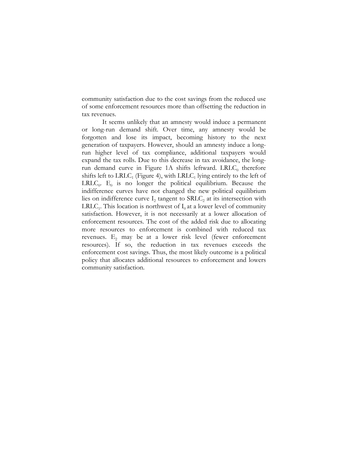community satisfaction due to the cost savings from the reduced use of some enforcement resources more than offsetting the reduction in tax revenues.

It seems unlikely that an amnesty would induce a permanent or long-run demand shift. Over time, any amnesty would be forgotten and lose its impact, becoming history to the next generation of taxpayers. However, should an amnesty induce a longrun higher level of tax compliance, additional taxpayers would expand the tax rolls. Due to this decrease in tax avoidance, the longrun demand curve in Figure 1A shifts leftward. LRLC $_0$  therefore shifts left to  $LRLC_1$  (Figure 4), with  $LRLC_1$  lying entirely to the left of  $LRLC<sub>0</sub>$ . E<sub>0</sub> is no longer the political equilibrium. Because the indifference curves have not changed the new political equilibrium lies on indifference curve  $I_2$  tangent to  $SRLC_2$  at its intersection with LRLC<sub>1</sub>. This location is northwest of  $I_0$  at a lower level of community satisfaction. However, it is not necessarily at a lower allocation of enforcement resources. The cost of the added risk due to allocating more resources to enforcement is combined with reduced tax revenues.  $E_2$  may be at a lower risk level (fewer enforcement resources). If so, the reduction in tax revenues exceeds the enforcement cost savings. Thus, the most likely outcome is a political policy that allocates additional resources to enforcement and lowers community satisfaction.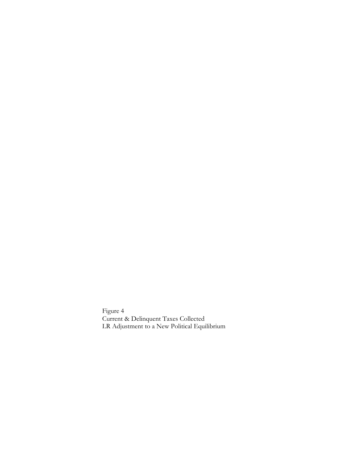Figure 4 Current & Delinquent Taxes Collected LR Adjustment to a New Political Equilibrium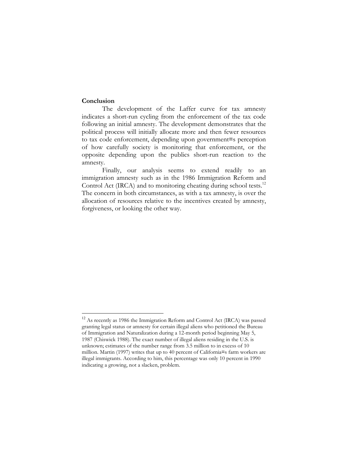# **Conclusion**

 $\overline{a}$ 

The development of the Laffer curve for tax amnesty indicates a short-run cycling from the enforcement of the tax code following an initial amnesty. The development demonstrates that the political process will initially allocate more and then fewer resources to tax code enforcement, depending upon government=s perception of how carefully society is monitoring that enforcement, or the opposite depending upon the publics short-run reaction to the amnesty.

Finally, our analysis seems to extend readily to an immigration amnesty such as in the 1986 Immigration Reform and Control Act (IRCA) and to monitoring cheating during school tests.<sup>12</sup> The concern in both circumstances, as with a tax amnesty, is over the allocation of resources relative to the incentives created by amnesty, forgiveness, or looking the other way.

<sup>&</sup>lt;sup>12</sup> As recently as 1986 the Immigration Reform and Control Act (IRCA) was passed granting legal status or amnesty for certain illegal aliens who petitioned the Bureau of Immigration and Naturalization during a 12-month period beginning May 5, 1987 (Chiswick 1988). The exact number of illegal aliens residing in the U.S. is unknown; estimates of the number range from 3.5 million to in excess of 10 million. Martin (1997) writes that up to 40 percent of California=s farm workers are illegal immigrants. According to him, this percentage was only 10 percent in 1990 indicating a growing, not a slacken, problem.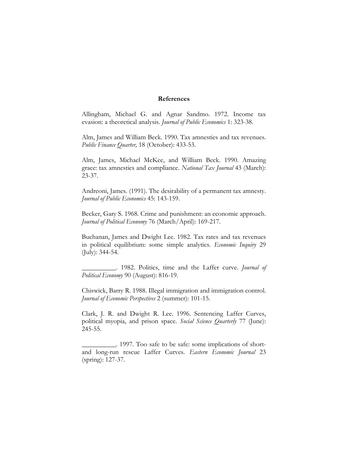#### **References**

Allingham, Michael G. and Agnar Sandmo. 1972. Income tax evasion: a theoretical analysis. *Journal of Public Economics* 1: 323-38.

Alm, James and William Beck. 1990. Tax amnesties and tax revenues. *Public Finance Quarter,* 18 (October): 433-53.

Alm, James, Michael McKee, and William Beck. 1990. Amazing grace: tax amnesties and compliance. *National Tax Journal* 43 (March): 23-37.

Andreoni, James. (1991). The desirability of a permanent tax amnesty. *Journal of Public Economics* 45: 143-159.

Becker, Gary S. 1968. Crime and punishment: an economic approach. *Journal of Political Economy* 76 (March/April): 169-217.

Buchanan, James and Dwight Lee. 1982. Tax rates and tax revenues in political equilibrium: some simple analytics. *Economic Inquiry* 29 (July): 344-54.

\_\_\_\_\_\_\_\_\_\_. 1982. Politics, time and the Laffer curve. *Journal of Political Economy* 90 (August): 816-19.

Chiswick, Barry R. 1988. Illegal immigration and immigration control. *Journal of Economic Perspectives* 2 (summer): 101-15.

Clark, J. R. and Dwight R. Lee. 1996. Sentencing Laffer Curves, political myopia, and prison space. *Social Science Quarterly* 77 (June): 245-55.

\_\_\_\_\_\_\_\_\_\_. 1997. Too safe to be safe: some implications of shortand long-run rescue Laffer Curves. *Eastern Economic Journal* 23 (spring): 127-37.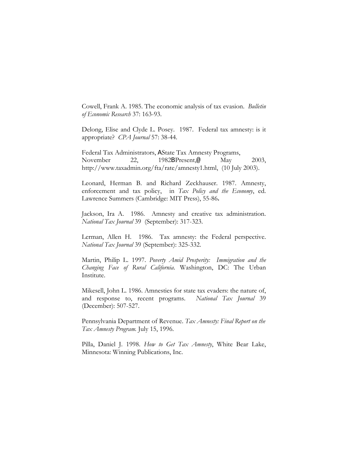Cowell, Frank A. 1985. The economic analysis of tax evasion. *Bulletin of Economic Research* 37: 163-93.

Delong, Elise and Clyde L. Posey. 1987. Federal tax amnesty: is it appropriate? *CPA Journal* 57: 38-44.

Federal Tax Administrators, AState Tax Amnesty Programs, November 22, 1982BPresent,@ May 2003, http://www.taxadmin.org/fta/rate/amnesty1.html, (10 July 2003).

Leonard, Herman B. and Richard Zeckhauser. 1987. Amnesty, enforcement and tax policy, in *Tax Policy and the Economy*, ed. Lawrence Summers (Cambridge: MIT Press), 55-86**.**

Jackson, Ira A. 1986. Amnesty and creative tax administration. *National Tax Journal* 39 (September): 317-323.

Lerman, Allen H. 1986. Tax amnesty: the Federal perspective. *National Tax Journal* 39 (September): 325-332.

Martin, Philip L. 1997. *Poverty Amid Prosperity: Immigration and the Changing Face of Rural California*. Washington, DC: The Urban Institute.

Mikesell, John L. 1986. Amnesties for state tax evaders: the nature of, and response to, recent programs. *National Tax Journal* 39 (December): 507-527.

Pennsylvania Department of Revenue. *Tax Amnesty: Final Report on the Tax Amnesty Program.* July 15, 1996.

Pilla, Daniel J. 1998. *How to Get Tax Amnesty*, White Bear Lake, Minnesota: Winning Publications, Inc.